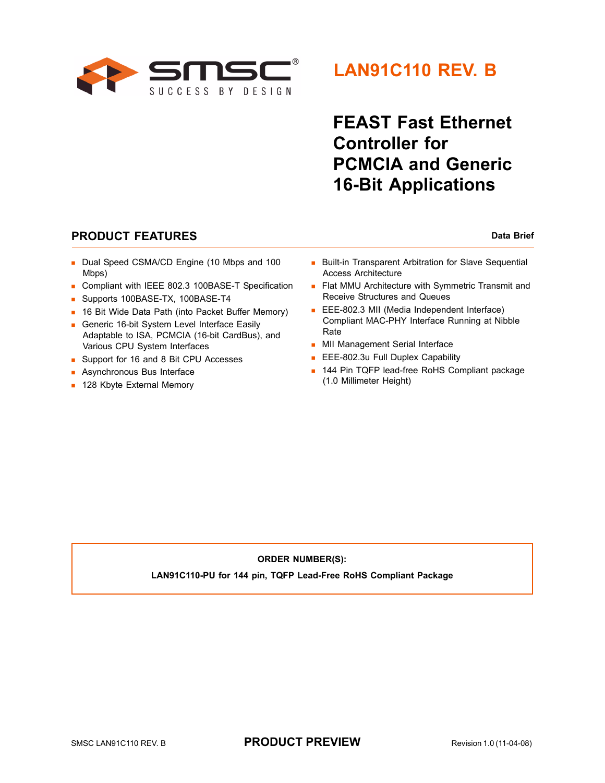

## **LAN91C110 REV. B**

# **FEAST Fast Ethernet Controller for PCMCIA and Generic 16-Bit Applications**

### **PRODUCT FEATURES** Data Brief

- Dual Speed CSMA/CD Engine (10 Mbps and 100 Mbps)
- Compliant with IEEE 802.3 100BASE-T Specification
- Supports 100BASE-TX, 100BASE-T4
- **16 Bit Wide Data Path (into Packet Buffer Memory)**
- Generic 16-bit System Level Interface Easily Adaptable to ISA, PCMCIA (16-bit CardBus), and Various CPU System Interfaces
- Support for 16 and 8 Bit CPU Accesses
- **Asynchronous Bus Interface**
- **128 Kbyte External Memory**
- **Built-in Transparent Arbitration for Slave Sequential** Access Architecture
- **Flat MMU Architecture with Symmetric Transmit and** Receive Structures and Queues
- EEE-802.3 MII (Media Independent Interface) Compliant MAC-PHY Interface Running at Nibble Rate
- **MII Management Serial Interface**
- **EEE-802.3u Full Duplex Capability**
- 144 Pin TQFP lead-free RoHS Compliant package (1.0 Millimeter Height)

### **ORDER NUMBER(S):**

**LAN91C110-PU for 144 pin, TQFP Lead-Free RoHS Compliant Package**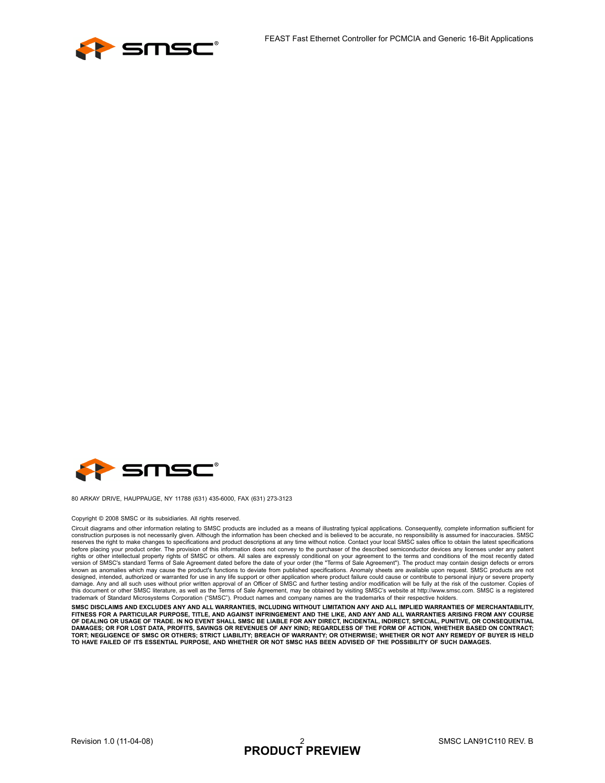



80 ARKAY DRIVE, HAUPPAUGE, NY 11788 (631) 435-6000, FAX (631) 273-3123

#### Copyright © 2008 SMSC or its subsidiaries. All rights reserved.

Circuit diagrams and other information relating to SMSC products are included as a means of illustrating typical applications. Consequently, complete information sufficient for<br>construction purposes is not necessarily give reserves the right to make changes to specifications and product descriptions at any time without notice. Contact your local SMSC sales office to obtain the latest specifications before placing your product order. The provision of this information does not convey to the purchaser of the described semiconductor devices any licenses under any patent<br>rights or other intellectual property rights of SMS version of SMSC's standard Terms of Sale Agreement dated before the date of your order (the "Terms of Sale Agreement"). The product may contain design defects or errors known as anomalies which may cause the product's functions to deviate from published specifications. Anomaly sheets are available upon request. SMSC products are not<br>designed, intended, authorized or warranted for use in a this document or other SMSC literature, as well as the Terms of Sale Agreement, may be obtained by visiting SMSC's website at http://www.smsc.com. SMSC is a registered<br>trademark of Standard Microsystems Corporation ("SMSC"

**SMSC DISCLAIMS AND EXCLUDES ANY AND ALL WARRANTIES, INCLUDING WITHOUT LIMITATION ANY AND ALL IMPLIED WARRANTIES OF MERCHANTABILITY,** FITNESS FOR A PARTICULAR PURPOSE, TITLE, AND AGAINST INFRINGEMENT AND THE LIKE, AND ANY AND ALL WARRANTIES ARISING FROM ANY COURSE<br>OF DEALING OR USAGE OF TRADE. IN NO EVENT SHALL SMSC BE LIABLE FOR ANY DIRECT, INCIDENTAL, DAMAGES; OR FOR LOST DATA, PROFITS, SAVINGS OR REVENUES OF ANY KIND; REGARDLESS OF THE FORM OF ACTION, WHETHER BASED ON CONTRACT;<br>TORT; NEGLIGENCE OF SMSC OR OTHERS; STRICT LIABILITY; BREACH OF WARRANTY; OR OTHERWISE; WHET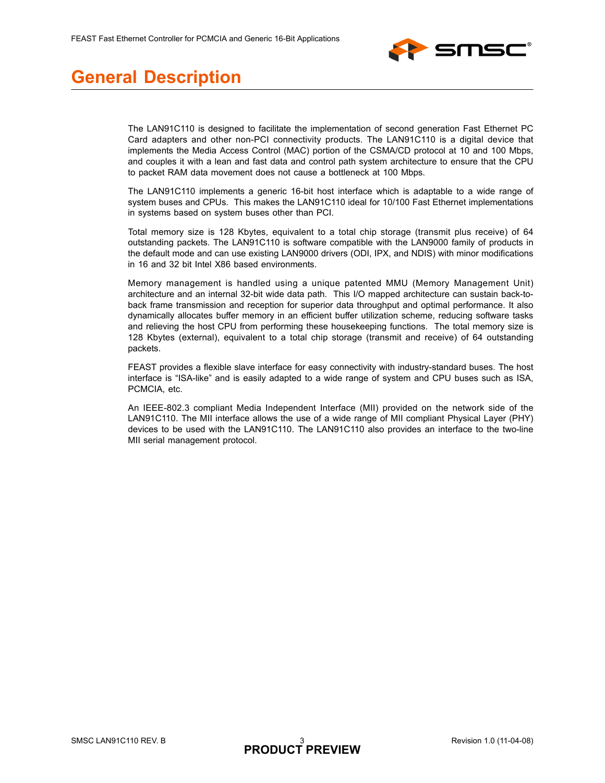

### **General Description**

The LAN91C110 is designed to facilitate the implementation of second generation Fast Ethernet PC Card adapters and other non-PCI connectivity products. The LAN91C110 is a digital device that implements the Media Access Control (MAC) portion of the CSMA/CD protocol at 10 and 100 Mbps, and couples it with a lean and fast data and control path system architecture to ensure that the CPU to packet RAM data movement does not cause a bottleneck at 100 Mbps.

The LAN91C110 implements a generic 16-bit host interface which is adaptable to a wide range of system buses and CPUs. This makes the LAN91C110 ideal for 10/100 Fast Ethernet implementations in systems based on system buses other than PCI.

Total memory size is 128 Kbytes, equivalent to a total chip storage (transmit plus receive) of 64 outstanding packets. The LAN91C110 is software compatible with the LAN9000 family of products in the default mode and can use existing LAN9000 drivers (ODI, IPX, and NDIS) with minor modifications in 16 and 32 bit Intel X86 based environments.

Memory management is handled using a unique patented MMU (Memory Management Unit) architecture and an internal 32-bit wide data path. This I/O mapped architecture can sustain back-toback frame transmission and reception for superior data throughput and optimal performance. It also dynamically allocates buffer memory in an efficient buffer utilization scheme, reducing software tasks and relieving the host CPU from performing these housekeeping functions. The total memory size is 128 Kbytes (external), equivalent to a total chip storage (transmit and receive) of 64 outstanding packets.

FEAST provides a flexible slave interface for easy connectivity with industry-standard buses. The host interface is "ISA-like" and is easily adapted to a wide range of system and CPU buses such as ISA, PCMCIA, etc.

An IEEE-802.3 compliant Media Independent Interface (MII) provided on the network side of the LAN91C110. The MII interface allows the use of a wide range of MII compliant Physical Layer (PHY) devices to be used with the LAN91C110. The LAN91C110 also provides an interface to the two-line MII serial management protocol.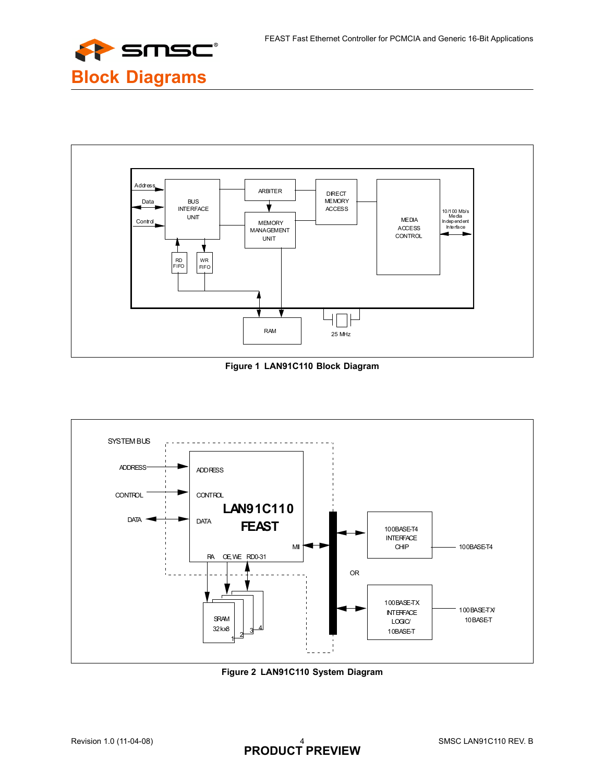



**Figure 1 LAN91C110 Block Diagram**



**Figure 2 LAN91C110 System Diagram**